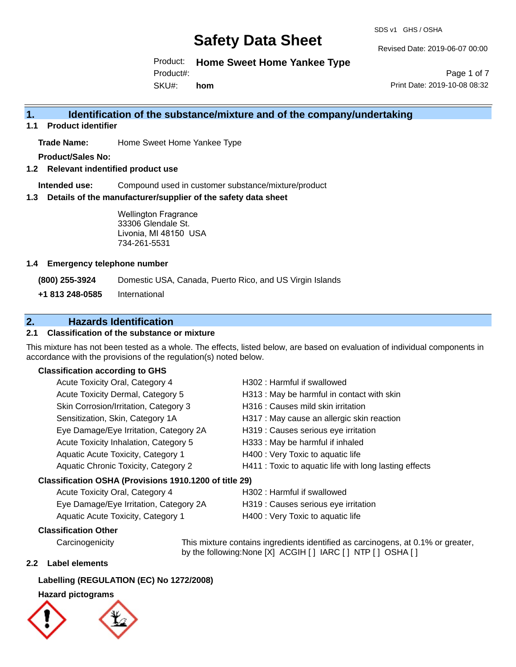SDS v1 GHS / OSHA

Revised Date: 2019-06-07 00:00

Product: **Home Sweet Home Yankee Type**

Product#:

SKU#: **hom**

Page 1 of 7 Print Date: 2019-10-08 08:32

## **1. Identification of the substance/mixture and of the company/undertaking**

**1.1 Product identifier**

**Trade Name:** Home Sweet Home Yankee Type

**Product/Sales No:**

**1.2 Relevant indentified product use**

**Intended use:** Compound used in customer substance/mixture/product

**1.3 Details of the manufacturer/supplier of the safety data sheet**

Wellington Fragrance 33306 Glendale St. Livonia, MI 48150 USA 734-261-5531

## **1.4 Emergency telephone number**

**(800) 255-3924** Domestic USA, Canada, Puerto Rico, and US Virgin Islands

**+1 813 248-0585** International

## **2. Hazards Identification**

## **2.1 Classification of the substance or mixture**

This mixture has not been tested as a whole. The effects, listed below, are based on evaluation of individual components in accordance with the provisions of the regulation(s) noted below.

### **Classification according to GHS**

| Acute Toxicity Oral, Category 4                        | H302: Harmful if swallowed                             |
|--------------------------------------------------------|--------------------------------------------------------|
| Acute Toxicity Dermal, Category 5                      | H313 : May be harmful in contact with skin             |
| Skin Corrosion/Irritation, Category 3                  | H316 : Causes mild skin irritation                     |
| Sensitization, Skin, Category 1A                       | H317 : May cause an allergic skin reaction             |
| Eye Damage/Eye Irritation, Category 2A                 | H319 : Causes serious eye irritation                   |
| Acute Toxicity Inhalation, Category 5                  | H333: May be harmful if inhaled                        |
| Aquatic Acute Toxicity, Category 1                     | H400 : Very Toxic to aquatic life                      |
| Aquatic Chronic Toxicity, Category 2                   | H411 : Toxic to aquatic life with long lasting effects |
| Classification OSHA (Provisions 1910.1200 of title 29) |                                                        |
| Acute Toxicity Oral, Category 4                        | H302: Harmful if swallowed                             |

| $1.00010 + 0.00011 + 0.0001 + 0.00001 + 0.00001 + 0.00001 + 0.00001 + 0.00001 + 0.00001 + 0.00001 + 0.00001 + 0.00001 + 0.00001 + 0.00001 + 0.00001 + 0.00001 + 0.00001 + 0.00001 + 0.00001 + 0.00001 + 0.00001 + 0.00001 + 0.00001 + 0.00001 + 0.000$ |                                      |
|--------------------------------------------------------------------------------------------------------------------------------------------------------------------------------------------------------------------------------------------------------|--------------------------------------|
| Eye Damage/Eye Irritation, Category 2A                                                                                                                                                                                                                 | H319 : Causes serious eye irritation |
| Aquatic Acute Toxicity, Category 1                                                                                                                                                                                                                     | H400 : Very Toxic to aquatic life    |

## **Classification Other**

Carcinogenicity This mixture contains ingredients identified as carcinogens, at 0.1% or greater, by the following:None [X] ACGIH [ ] IARC [ ] NTP [ ] OSHA [ ]

## **2.2 Label elements**

## **Labelling (REGULATION (EC) No 1272/2008)**

### **Hazard pictograms**



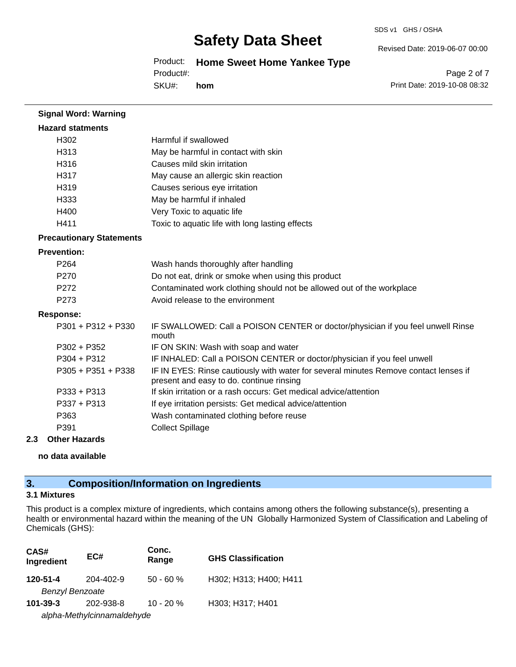#### SDS v1 GHS / OSHA

# **Safety Data Sheet**

Product: **Home Sweet Home Yankee Type**

Product#:

SKU#: **hom** Page 2 of 7

Revised Date: 2019-06-07 00:00

Print Date: 2019-10-08 08:32

| <b>Signal Word: Warning</b>     |                                                                                                                                  |
|---------------------------------|----------------------------------------------------------------------------------------------------------------------------------|
| <b>Hazard statments</b>         |                                                                                                                                  |
| H302                            | Harmful if swallowed                                                                                                             |
| H313                            | May be harmful in contact with skin                                                                                              |
| H316                            | Causes mild skin irritation                                                                                                      |
| H317                            | May cause an allergic skin reaction                                                                                              |
| H319                            | Causes serious eye irritation                                                                                                    |
| H333                            | May be harmful if inhaled                                                                                                        |
| H400                            | Very Toxic to aquatic life                                                                                                       |
| H411                            | Toxic to aquatic life with long lasting effects                                                                                  |
| <b>Precautionary Statements</b> |                                                                                                                                  |
| <b>Prevention:</b>              |                                                                                                                                  |
| P <sub>264</sub>                | Wash hands thoroughly after handling                                                                                             |
| P270                            | Do not eat, drink or smoke when using this product                                                                               |
| P272                            | Contaminated work clothing should not be allowed out of the workplace                                                            |
| P273                            | Avoid release to the environment                                                                                                 |
| <b>Response:</b>                |                                                                                                                                  |
| $P301 + P312 + P330$            | IF SWALLOWED: Call a POISON CENTER or doctor/physician if you feel unwell Rinse<br>mouth                                         |
| $P302 + P352$                   | IF ON SKIN: Wash with soap and water                                                                                             |
| $P304 + P312$                   | IF INHALED: Call a POISON CENTER or doctor/physician if you feel unwell                                                          |
| P305 + P351 + P338              | IF IN EYES: Rinse cautiously with water for several minutes Remove contact lenses if<br>present and easy to do. continue rinsing |
| $P333 + P313$                   | If skin irritation or a rash occurs: Get medical advice/attention                                                                |
| $P337 + P313$                   | If eye irritation persists: Get medical advice/attention                                                                         |
| P363                            | Wash contaminated clothing before reuse                                                                                          |
| P391                            | <b>Collect Spillage</b>                                                                                                          |
| 80 d. 11 1                      |                                                                                                                                  |

## **2.3 Other Hazards**

**no data available**

## **3. Composition/Information on Ingredients**

## **3.1 Mixtures**

This product is a complex mixture of ingredients, which contains among others the following substance(s), presenting a health or environmental hazard within the meaning of the UN Globally Harmonized System of Classification and Labeling of Chemicals (GHS):

| CAS#<br>Ingredient     | EC#                        | Conc.<br>Range | <b>GHS Classification</b> |
|------------------------|----------------------------|----------------|---------------------------|
| 120-51-4               | 204-402-9                  | $50 - 60 %$    | H302; H313; H400; H411    |
| <b>Benzyl Benzoate</b> |                            |                |                           |
| $101 - 39 - 3$         | 202-938-8                  | $10 - 20%$     | H303; H317; H401          |
|                        | alpha-Methylcinnamaldehyde |                |                           |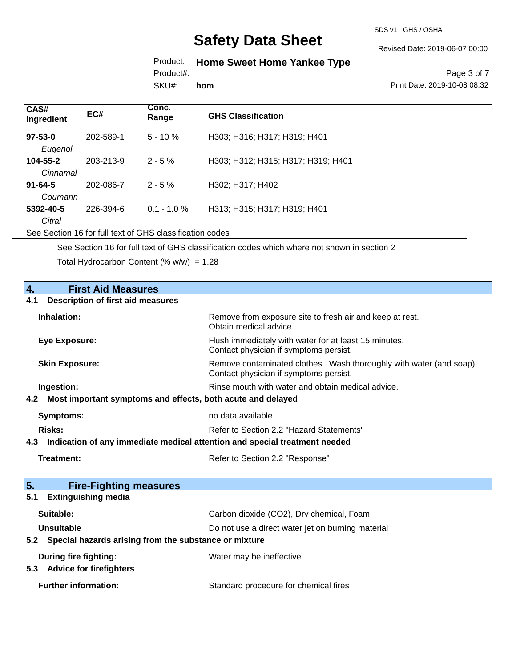SDS v1 GHS / OSHA

Revised Date: 2019-06-07 00:00

# Product: **Home Sweet Home Yankee Type**

Product#:

SKU#: **hom**

Page 3 of 7 Print Date: 2019-10-08 08:32

| CAS#<br>Ingredient        | EC#       | Conc.<br>Range | <b>GHS Classification</b>          |
|---------------------------|-----------|----------------|------------------------------------|
| $97 - 53 - 0$<br>Eugenol  | 202-589-1 | $5 - 10 \%$    | H303; H316; H317; H319; H401       |
| 104-55-2<br>Cinnamal      | 203-213-9 | $2 - 5\%$      | H303; H312; H315; H317; H319; H401 |
| $91 - 64 - 5$<br>Coumarin | 202-086-7 | $2 - 5%$       | H302; H317; H402                   |
| 5392-40-5<br>Citral       | 226-394-6 | $0.1 - 1.0 \%$ | H313; H315; H317; H319; H401       |

See Section 16 for full text of GHS classification codes

See Section 16 for full text of GHS classification codes which where not shown in section 2

Total Hydrocarbon Content (%  $w/w$ ) = 1.28

| $\overline{4}$ .<br><b>First Aid Measures</b>                                     |                                                                                                               |  |
|-----------------------------------------------------------------------------------|---------------------------------------------------------------------------------------------------------------|--|
| 4.1<br><b>Description of first aid measures</b>                                   |                                                                                                               |  |
| Inhalation:                                                                       | Remove from exposure site to fresh air and keep at rest.<br>Obtain medical advice.                            |  |
| <b>Eye Exposure:</b>                                                              | Flush immediately with water for at least 15 minutes.<br>Contact physician if symptoms persist.               |  |
| <b>Skin Exposure:</b>                                                             | Remove contaminated clothes. Wash thoroughly with water (and soap).<br>Contact physician if symptoms persist. |  |
| Ingestion:                                                                        | Rinse mouth with water and obtain medical advice.                                                             |  |
| Most important symptoms and effects, both acute and delayed<br>4.2                |                                                                                                               |  |
| <b>Symptoms:</b>                                                                  | no data available                                                                                             |  |
| Risks:                                                                            | Refer to Section 2.2 "Hazard Statements"                                                                      |  |
| Indication of any immediate medical attention and special treatment needed<br>4.3 |                                                                                                               |  |
| Treatment:                                                                        | Refer to Section 2.2 "Response"                                                                               |  |
|                                                                                   |                                                                                                               |  |
| 5.<br><b>Fire-Fighting measures</b>                                               |                                                                                                               |  |
| <b>Extinguishing media</b><br>5.1                                                 |                                                                                                               |  |
| Suitable:                                                                         | Carbon dioxide (CO2), Dry chemical, Foam                                                                      |  |
| <b>Unsuitable</b>                                                                 | Do not use a direct water jet on burning material                                                             |  |
| Special hazards arising from the substance or mixture<br>5.2                      |                                                                                                               |  |
| During fire fighting:<br><b>Advice for firefighters</b><br>5.3                    | Water may be ineffective                                                                                      |  |
| <b>Further information:</b>                                                       | Standard procedure for chemical fires                                                                         |  |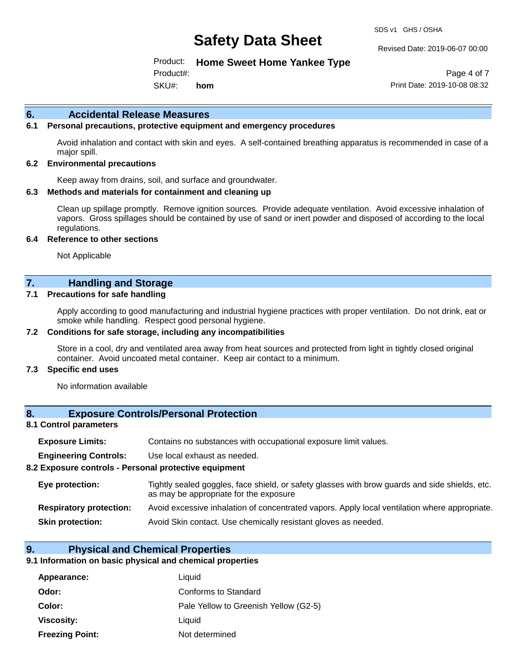SDS v1 GHS / OSHA

Revised Date: 2019-06-07 00:00

Product: **Home Sweet Home Yankee Type**

SKU#: Product#: **hom**

Page 4 of 7 Print Date: 2019-10-08 08:32

### **6. Accidental Release Measures**

### **6.1 Personal precautions, protective equipment and emergency procedures**

Avoid inhalation and contact with skin and eyes. A self-contained breathing apparatus is recommended in case of a major spill.

#### **6.2 Environmental precautions**

Keep away from drains, soil, and surface and groundwater.

#### **6.3 Methods and materials for containment and cleaning up**

Clean up spillage promptly. Remove ignition sources. Provide adequate ventilation. Avoid excessive inhalation of vapors. Gross spillages should be contained by use of sand or inert powder and disposed of according to the local regulations.

#### **6.4 Reference to other sections**

Not Applicable

## **7. Handling and Storage**

#### **7.1 Precautions for safe handling**

Apply according to good manufacturing and industrial hygiene practices with proper ventilation. Do not drink, eat or smoke while handling. Respect good personal hygiene.

#### **7.2 Conditions for safe storage, including any incompatibilities**

Store in a cool, dry and ventilated area away from heat sources and protected from light in tightly closed original container. Avoid uncoated metal container. Keep air contact to a minimum.

#### **7.3 Specific end uses**

No information available

## **8. Exposure Controls/Personal Protection**

#### **8.1 Control parameters**

| <b>Exposure Limits:</b> |  | Contains no substances with occupational exposure limit values. |  |  |  |
|-------------------------|--|-----------------------------------------------------------------|--|--|--|
|-------------------------|--|-----------------------------------------------------------------|--|--|--|

**Engineering Controls:** Use local exhaust as needed.

#### **8.2 Exposure controls - Personal protective equipment**

| Eye protection:                | Tightly sealed goggles, face shield, or safety glasses with brow guards and side shields, etc.<br>as may be appropriate for the exposure |
|--------------------------------|------------------------------------------------------------------------------------------------------------------------------------------|
| <b>Respiratory protection:</b> | Avoid excessive inhalation of concentrated vapors. Apply local ventilation where appropriate.                                            |
| <b>Skin protection:</b>        | Avoid Skin contact. Use chemically resistant gloves as needed.                                                                           |

#### **9. Physical and Chemical Properties**

#### **9.1 Information on basic physical and chemical properties**

| Appearance:            | Liquid                                |
|------------------------|---------------------------------------|
| Odor:                  | Conforms to Standard                  |
| Color:                 | Pale Yellow to Greenish Yellow (G2-5) |
| Viscosity:             | Liquid                                |
| <b>Freezing Point:</b> | Not determined                        |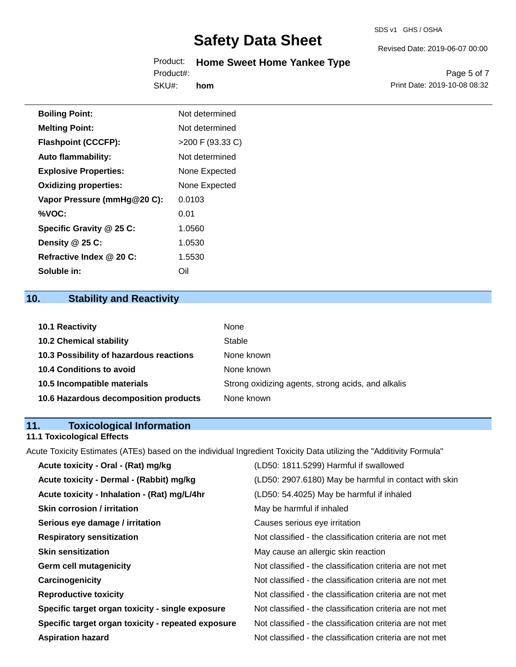## Product: **Home Sweet Home Yankee Type** Product#:

SKU#: **hom**

Page 5 of 7 Print Date: 2019-10-08 08:32

Revised Date: 2019-06-07 00:00

| <b>Boiling Point:</b>        | Not determined     |
|------------------------------|--------------------|
| <b>Melting Point:</b>        | Not determined     |
| <b>Flashpoint (CCCFP):</b>   | $>200$ F (93.33 C) |
| <b>Auto flammability:</b>    | Not determined     |
| <b>Explosive Properties:</b> | None Expected      |
| <b>Oxidizing properties:</b> | None Expected      |
| Vapor Pressure (mmHg@20 C):  | 0.0103             |
| %VOC:                        | 0.01               |
| Specific Gravity @ 25 C:     | 1.0560             |
| Density @ 25 C:              | 1.0530             |
| Refractive Index @ 20 C:     | 1.5530             |
| Soluble in:                  | Oil                |

## **10. Stability and Reactivity**

| 10.1 Reactivity                         | None                                               |
|-----------------------------------------|----------------------------------------------------|
| <b>10.2 Chemical stability</b>          | Stable                                             |
| 10.3 Possibility of hazardous reactions | None known                                         |
| <b>10.4 Conditions to avoid</b>         | None known                                         |
| 10.5 Incompatible materials             | Strong oxidizing agents, strong acids, and alkalis |
| 10.6 Hazardous decomposition products   | None known                                         |

## **11. Toxicological Information**

## **11.1 Toxicological Effects**

Acute Toxicity Estimates (ATEs) based on the individual Ingredient Toxicity Data utilizing the "Additivity Formula"

| Acute toxicity - Oral - (Rat) mg/kg                | (LD50: 1811.5299) Harmful if swallowed                   |
|----------------------------------------------------|----------------------------------------------------------|
| Acute toxicity - Dermal - (Rabbit) mg/kg           | (LD50: 2907.6180) May be harmful in contact with skin    |
| Acute toxicity - Inhalation - (Rat) mg/L/4hr       | (LD50: 54.4025) May be harmful if inhaled                |
| <b>Skin corrosion / irritation</b>                 | May be harmful if inhaled                                |
| Serious eye damage / irritation                    | Causes serious eye irritation                            |
| <b>Respiratory sensitization</b>                   | Not classified - the classification criteria are not met |
| <b>Skin sensitization</b>                          | May cause an allergic skin reaction                      |
| <b>Germ cell mutagenicity</b>                      | Not classified - the classification criteria are not met |
| Carcinogenicity                                    | Not classified - the classification criteria are not met |
| <b>Reproductive toxicity</b>                       | Not classified - the classification criteria are not met |
| Specific target organ toxicity - single exposure   | Not classified - the classification criteria are not met |
| Specific target organ toxicity - repeated exposure | Not classified - the classification criteria are not met |
| <b>Aspiration hazard</b>                           | Not classified - the classification criteria are not met |
|                                                    |                                                          |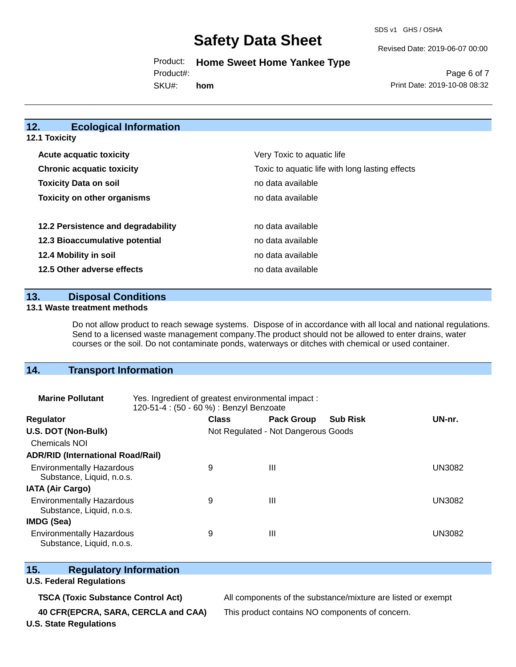SDS v1 GHS / OSHA

Revised Date: 2019-06-07 00:00

Product: **Home Sweet Home Yankee Type**

Product#:

SKU#: **hom**

Page 6 of 7 Print Date: 2019-10-08 08:32

#### **12. Ecological Information 12.1 Toxicity**

| <b>Acute acquatic toxicity</b>     | Very Toxic to aquatic life                      |
|------------------------------------|-------------------------------------------------|
| <b>Chronic acquatic toxicity</b>   | Toxic to aquatic life with long lasting effects |
| <b>Toxicity Data on soil</b>       | no data available                               |
| <b>Toxicity on other organisms</b> | no data available                               |
|                                    |                                                 |
| 12.2 Persistence and degradability | no data available                               |
| 12.3 Bioaccumulative potential     | no data available                               |
| 12.4 Mobility in soil              | no data available                               |
| 12.5 Other adverse effects         | no data available                               |

### **13. Disposal Conditions**

#### **13.1 Waste treatment methods**

Do not allow product to reach sewage systems. Dispose of in accordance with all local and national regulations. Send to a licensed waste management company.The product should not be allowed to enter drains, water courses or the soil. Do not contaminate ponds, waterways or ditches with chemical or used container.

## **14. Transport Information**

| <b>Marine Pollutant</b>                                       | Yes. Ingredient of greatest environmental impact:<br>120-51-4 : (50 - 60 %) : Benzyl Benzoate |                                     |                   |                 |               |  |
|---------------------------------------------------------------|-----------------------------------------------------------------------------------------------|-------------------------------------|-------------------|-----------------|---------------|--|
| <b>Regulator</b>                                              |                                                                                               | <b>Class</b>                        | <b>Pack Group</b> | <b>Sub Risk</b> | UN-nr.        |  |
| U.S. DOT (Non-Bulk)                                           |                                                                                               | Not Regulated - Not Dangerous Goods |                   |                 |               |  |
| <b>Chemicals NOI</b>                                          |                                                                                               |                                     |                   |                 |               |  |
| <b>ADR/RID (International Road/Rail)</b>                      |                                                                                               |                                     |                   |                 |               |  |
| <b>Environmentally Hazardous</b><br>Substance, Liquid, n.o.s. |                                                                                               | 9                                   | Ш                 |                 | UN3082        |  |
| <b>IATA (Air Cargo)</b>                                       |                                                                                               |                                     |                   |                 |               |  |
| <b>Environmentally Hazardous</b><br>Substance, Liquid, n.o.s. |                                                                                               | 9                                   | Ш                 |                 | <b>UN3082</b> |  |
| <b>IMDG (Sea)</b>                                             |                                                                                               |                                     |                   |                 |               |  |
| <b>Environmentally Hazardous</b><br>Substance, Liquid, n.o.s. |                                                                                               | 9                                   | Ш                 |                 | UN3082        |  |

## **15. Regulatory Information**

#### **U.S. Federal Regulations**

**40 CFR(EPCRA, SARA, CERCLA and CAA)** This product contains NO components of concern.

**TSCA (Toxic Substance Control Act)** All components of the substance/mixture are listed or exempt